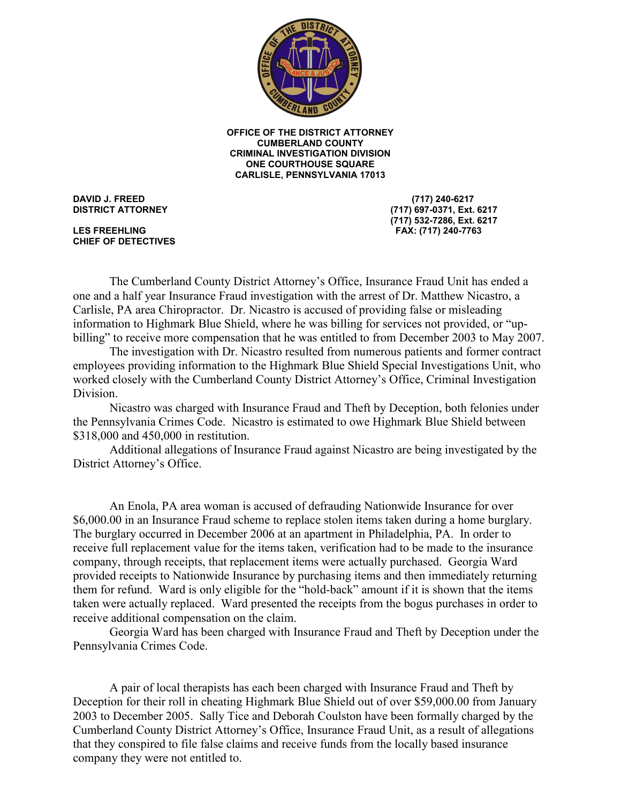

ONE COURTHOUSE SQUARE CARLISLE, PENNSYLVANIA 17013 OFFICE OF THE DISTRICT ATTORNEY **CUMBERLAND COUNTY CRIMINAL INVESTIGATION DIVISION** 

**DAVID J. FREED DISTRICT ATTORNEY** 

**LES FREEHLING** CHIEF OF DETECTIVES

(717) 240-6217 (717) 697-0371, Ext. 6217 (717) 532-7286, Ext. 6217 LES FREEHLING FAX: (717) 240-7763

 one and a half year Insurance Fraud investigation with the arrest of Dr. Matthew Nicastro, a The Cumberland County District Attorney's Office, Insurance Fraud Unit has ended a Carlisle, PA area Chiropractor. Dr. Nicastro is accused of providing false or misleading information to Highmark Blue Shield, where he was billing for services not provided, or "upbilling" to receive more compensation that he was entitled to from December 2003 to May 2007.

The investigation with Dr. Nicastro resulted from numerous patients and former contract employees providing information to the Highmark Blue Shield Special Investigations Unit, who worked closely with the Cumberland County District Attorney's Office, Criminal Investigation Division.

 Nicastro was charged with Insurance Fraud and Theft by Deception, both felonies under the Pennsylvania Crimes Code. Nicastro is estimated to owe Highmark Blue Shield between \$318,000 and 450,000 in restitution.

 Additional allegations of Insurance Fraud against Nicastro are being investigated by the District Attorney's Office.

An Enola, PA area woman is accused of defrauding Nationwide Insurance for over company, through receipts, that replacement items were actually purchased. Georgia Ward provided receipts to Nationwide Insurance by purchasing items and then immediately returning taken were actually replaced. Ward presented the receipts from the bogus purchases in order to \$6,000.00 in an Insurance Fraud scheme to replace stolen items taken during a home burglary. The burglary occurred in December 2006 at an apartment in Philadelphia, PA. In order to receive full replacement value for the items taken, verification had to be made to the insurance them for refund. Ward is only eligible for the "hold-back" amount if it is shown that the items receive additional compensation on the claim.

 Georgia Ward has been charged with Insurance Fraud and Theft by Deception under the Pennsylvania Crimes Code.

2003 to December 2005. Sally Tice and Deborah Coulston have been formally charged by the A pair of local therapists has each been charged with Insurance Fraud and Theft by Deception for their roll in cheating Highmark Blue Shield out of over \$59,000.00 from January Cumberland County District Attorney's Office, Insurance Fraud Unit, as a result of allegations that they conspired to file false claims and receive funds from the locally based insurance company they were not entitled to.